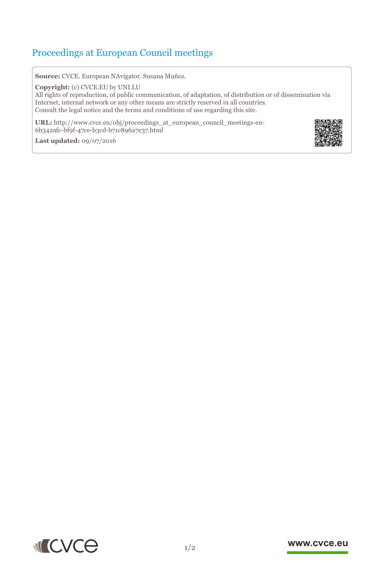## Proceedings at European Council meetings

**Source:** CVCE. European NAvigator. Susana Muñoz.

**Copyright:** (c) CVCE.EU by UNI.LU

All rights of reproduction, of public communication, of adaptation, of distribution or of dissemination via Internet, internal network or any other means are strictly reserved in all countries. Consult the legal notice and the terms and conditions of use regarding this site.

**URL:** http://www.cvce.eu/obj/proceedings\_at\_european\_council\_meetings-en-6b342afc-[bf9f-47ce-b3cd-b71c896a7e37.html](http://www.cvce.eu/obj/proceedings_at_european_council_meetings-en-6b342afc-bf9f-47ce-b3cd-b71c896a7e37.html)

**Las[t updated:](http://www.cvce.eu/obj/proceedings_at_european_council_meetings-en-6b342afc-bf9f-47ce-b3cd-b71c896a7e37.html)** 09/07/2016





## www.cvce.eu